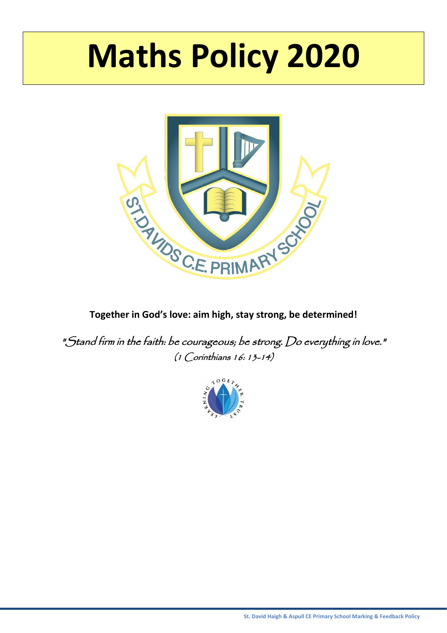# **Maths Policy 2020**



**Together in God's love: aim high, stay strong, be determined!**

"Stand firm in the faith: be courageous; be strong. Do everything in love." (1 Corinthians 16: 13-14)

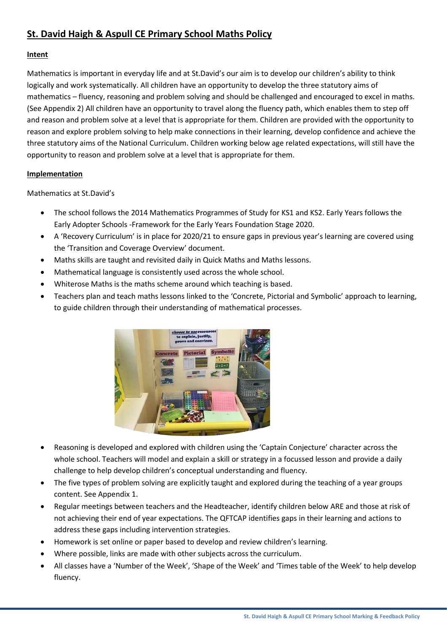## **St. David Haigh & Aspull CE Primary School Maths Policy**

#### **Intent**

Mathematics is important in everyday life and at St.David's our aim is to develop our children's ability to think logically and work systematically. All children have an opportunity to develop the three statutory aims of mathematics – fluency, reasoning and problem solving and should be challenged and encouraged to excel in maths. (See Appendix 2) All children have an opportunity to travel along the fluency path, which enables them to step off and reason and problem solve at a level that is appropriate for them. Children are provided with the opportunity to reason and explore problem solving to help make connections in their learning, develop confidence and achieve the three statutory aims of the National Curriculum. Children working below age related expectations, will still have the opportunity to reason and problem solve at a level that is appropriate for them.

#### **Implementation**

Mathematics at St.David's

- The school follows the 2014 Mathematics Programmes of Study for KS1 and KS2. Early Years follows the Early Adopter Schools -Framework for the Early Years Foundation Stage 2020.
- A 'Recovery Curriculum' is in place for 2020/21 to ensure gaps in previous year's learning are covered using the 'Transition and Coverage Overview' document.
- Maths skills are taught and revisited daily in Quick Maths and Maths lessons.
- Mathematical language is consistently used across the whole school.
- Whiterose Maths is the maths scheme around which teaching is based.
- Teachers plan and teach maths lessons linked to the 'Concrete, Pictorial and Symbolic' approach to learning, to guide children through their understanding of mathematical processes.



- Reasoning is developed and explored with children using the 'Captain Conjecture' character across the whole school. Teachers will model and explain a skill or strategy in a focussed lesson and provide a daily challenge to help develop children's conceptual understanding and fluency.
- The five types of problem solving are explicitly taught and explored during the teaching of a year groups content. See Appendix 1.
- Regular meetings between teachers and the Headteacher, identify children below ARE and those at risk of not achieving their end of year expectations. The QFTCAP identifies gaps in their learning and actions to address these gaps including intervention strategies.
- Homework is set online or paper based to develop and review children's learning.
- Where possible, links are made with other subjects across the curriculum.
- All classes have a 'Number of the Week', 'Shape of the Week' and 'Times table of the Week' to help develop fluency.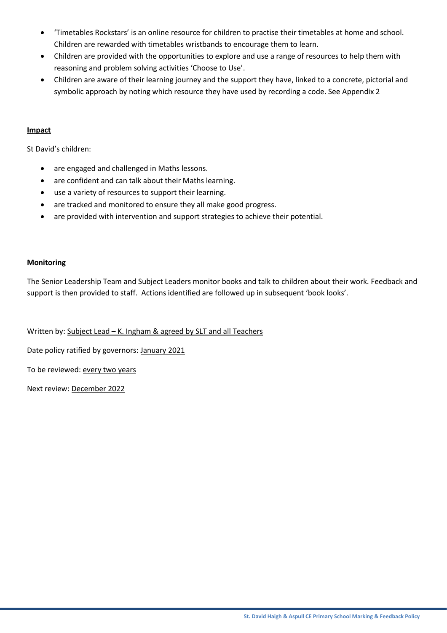- 'Timetables Rockstars' is an online resource for children to practise their timetables at home and school. Children are rewarded with timetables wristbands to encourage them to learn.
- Children are provided with the opportunities to explore and use a range of resources to help them with reasoning and problem solving activities 'Choose to Use'.
- Children are aware of their learning journey and the support they have, linked to a concrete, pictorial and symbolic approach by noting which resource they have used by recording a code. See Appendix 2

#### **Impact**

St David's children:

- are engaged and challenged in Maths lessons.
- are confident and can talk about their Maths learning.
- use a variety of resources to support their learning.
- are tracked and monitored to ensure they all make good progress.
- are provided with intervention and support strategies to achieve their potential.

#### **Monitoring**

The Senior Leadership Team and Subject Leaders monitor books and talk to children about their work. Feedback and support is then provided to staff. Actions identified are followed up in subsequent 'book looks'.

Written by: Subject Lead - K. Ingham & agreed by SLT and all Teachers

Date policy ratified by governors: January 2021

To be reviewed: every two years

Next review: December 2022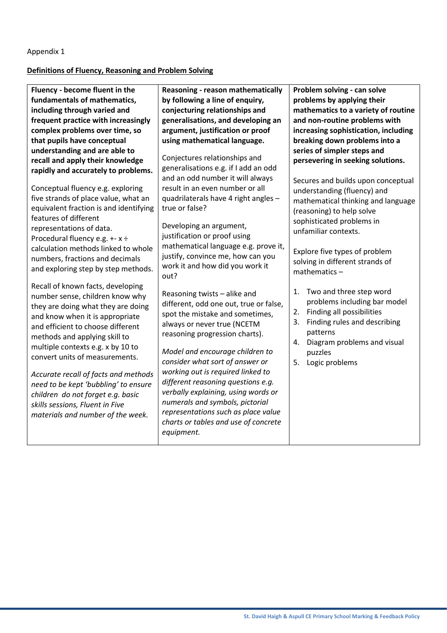#### Appendix 1

#### **Definitions of Fluency, Reasoning and Problem Solving**

**Fluency - become fluent in the fundamentals of mathematics, including through varied and frequent practice with increasingly complex problems over time, so that pupils have conceptual understanding and are able to recall and apply their knowledge rapidly and accurately to problems.**

Conceptual fluency e.g. exploring five strands of place value, what an equivalent fraction is and identifying features of different representations of data. Procedural fluency e.g. +- x ÷ calculation methods linked to whole numbers, fractions and decimals and exploring step by step methods.

Recall of known facts, developing number sense, children know why they are doing what they are doing and know when it is appropriate and efficient to choose different methods and applying skill to multiple contexts e.g. x by 10 to convert units of measurements.

*Accurate recall of facts and methods need to be kept 'bubbling' to ensure children do not forget e.g. basic skills sessions, Fluent in Five materials and number of the week.*

**Reasoning - reason mathematically by following a line of enquiry, conjecturing relationships and generalisations, and developing an argument, justification or proof using mathematical language.**

Conjectures relationships and generalisations e.g. if I add an odd and an odd number it will always result in an even number or all quadrilaterals have 4 right angles – true or false?

Developing an argument, justification or proof using mathematical language e.g. prove it, justify, convince me, how can you work it and how did you work it out?

Reasoning twists – alike and different, odd one out, true or false, spot the mistake and sometimes, always or never true (NCETM reasoning progression charts).

*Model and encourage children to consider what sort of answer or working out is required linked to different reasoning questions e.g. verbally explaining, using words or numerals and symbols, pictorial representations such as place value charts or tables and use of concrete equipment.*

**Problem solving - can solve problems by applying their mathematics to a variety of routine and non-routine problems with increasing sophistication, including breaking down problems into a series of simpler steps and persevering in seeking solutions.** 

Secures and builds upon conceptual understanding (fluency) and mathematical thinking and language (reasoning) to help solve sophisticated problems in unfamiliar contexts.

Explore five types of problem solving in different strands of mathematics –

- 1. Two and three step word problems including bar model
- 2. Finding all possibilities
- 3. Finding rules and describing patterns
- 4. Diagram problems and visual puzzles
- 5. Logic problems